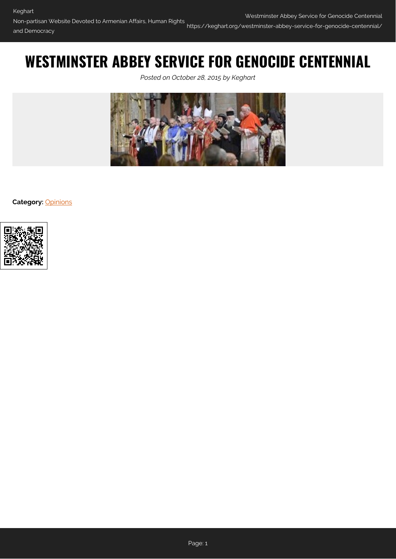# **WESTMINSTER ABBEY SERVICE FOR GENOCIDE CENTENNIAL**

*Posted on October 28, 2015 by Keghart*



**Category:** [Opinions](https://keghart.org/category/opinions/)

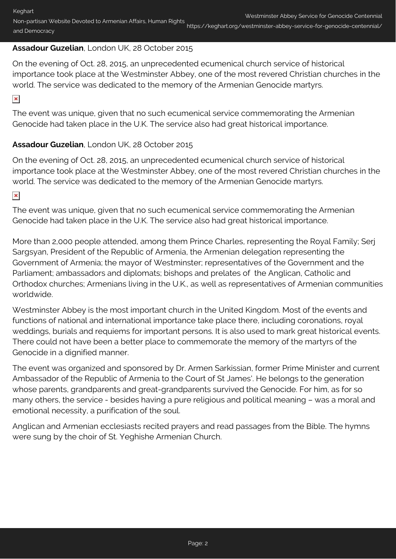# **Assadour Guzelian**, London UK, 28 October 2015

On the evening of Oct. 28, 2015, an unprecedented ecumenical church service of historical importance took place at the Westminster Abbey, one of the most revered Christian churches in the world. The service was dedicated to the memory of the Armenian Genocide martyrs.

 $\pmb{\times}$ 

The event was unique, given that no such ecumenical service commemorating the Armenian Genocide had taken place in the U.K. The service also had great historical importance.

# **Assadour Guzelian**, London UK, 28 October 2015

On the evening of Oct. 28, 2015, an unprecedented ecumenical church service of historical importance took place at the Westminster Abbey, one of the most revered Christian churches in the world. The service was dedicated to the memory of the Armenian Genocide martyrs.

 $\pmb{\times}$ 

The event was unique, given that no such ecumenical service commemorating the Armenian Genocide had taken place in the U.K. The service also had great historical importance.

More than 2,000 people attended, among them Prince Charles, representing the Royal Family; Serj Sargsyan, President of the Republic of Armenia, the Armenian delegation representing the Government of Armenia; the mayor of Westminster; representatives of the Government and the Parliament; ambassadors and diplomats; bishops and prelates of the Anglican, Catholic and Orthodox churches; Armenians living in the U.K., as well as representatives of Armenian communities worldwide.

Westminster Abbey is the most important church in the United Kingdom. Most of the events and functions of national and international importance take place there, including coronations, royal weddings, burials and requiems for important persons. It is also used to mark great historical events. There could not have been a better place to commemorate the memory of the martyrs of the Genocide in a dignified manner.

The event was organized and sponsored by Dr. Armen Sarkissian, former Prime Minister and current Ambassador of the Republic of Armenia to the Court of St James'. He belongs to the generation whose parents, grandparents and great-grandparents survived the Genocide. For him, as for so many others, the service - besides having a pure religious and political meaning – was a moral and emotional necessity, a purification of the soul.

Anglican and Armenian ecclesiasts recited prayers and read passages from the Bible. The hymns were sung by the choir of St. Yeghishe Armenian Church.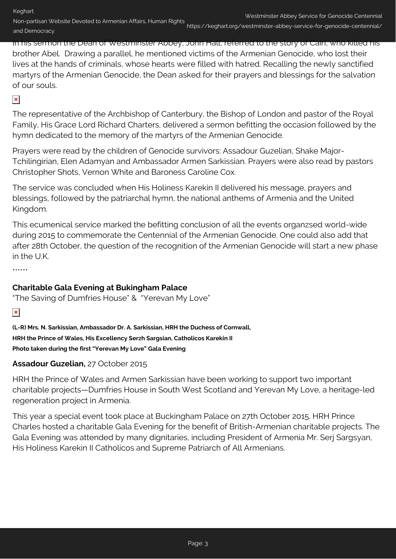Non-partisan Website Devoted to Armenian Affairs, Human Rights and Democracy

In his sermon the Dean of Westminster Abbey, John Hall, referred to the story of Cain, who killed his brother Abel. Drawing a parallel, he mentioned victims of the Armenian Genocide, who lost their lives at the hands of criminals, whose hearts were filled with hatred. Recalling the newly sanctified martyrs of the Armenian Genocide, the Dean asked for their prayers and blessings for the salvation of our souls.

 $\pmb{\times}$ 

The representative of the Archbishop of Canterbury, the Bishop of London and pastor of the Royal Family, His Grace Lord Richard Charters, delivered a sermon befitting the occasion followed by the hymn dedicated to the memory of the martyrs of the Armenian Genocide.

Prayers were read by the children of Genocide survivors: Assadour Guzelian, Shake Major-Tchilingirian, Elen Adamyan and Ambassador Armen Sarkissian. Prayers were also read by pastors Christopher Shots, Vernon White and Baroness Caroline Cox.

The service was concluded when His Holiness Karekin II delivered his message, prayers and blessings, followed by the patriarchal hymn, the national anthems of Armenia and the United Kingdom.

This ecumenical service marked the befitting conclusion of all the events organzsed world-wide during 2015 to commemorate the Centennial of the Armenian Genocide. One could also add that after 28th October, the question of the recognition of the Armenian Genocide will start a new phase in the U.K.

\*\*\*\*\*\*

# **Charitable Gala Evening at Bukingham Palace**

"The Saving of Dumfries House" & "Yerevan My Love"

 $\pmb{\times}$ 

**(L-R) Mrs. N. Sarkissian, Ambassador Dr. A. Sarkissian, HRH the Duchess of Cornwall, HRH the Prince of Wales, His Excellency Serzh Sargsian, Catholicos Karekin II Photo taken during the first "Yerevan My Love" Gala Evening**

# **Assadour Guzelian,** 27 October 2015

HRH the Prince of Wales and Armen Sarkissian have been working to support two important charitable projects—Dumfries House in South West Scotland and Yerevan My Love, a heritage-led regeneration project in Armenia.

This year a special event took place at Buckingham Palace on 27th October 2015. HRH Prince Charles hosted a charitable Gala Evening for the benefit of British-Armenian charitable projects. The Gala Evening was attended by many dignitaries, including President of Armenia Mr. Serj Sargsyan, His Holiness Karekin II Catholicos and Supreme Patriarch of All Armenians.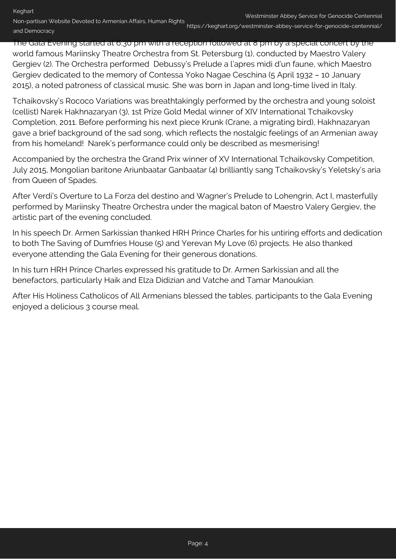The Gala Evening started at 6.30 pm with a reception followed at 8 pm by a special concert by the world famous Mariinsky Theatre Orchestra from St. Petersburg (1), conducted by Maestro Valery Gergiev (2). The Orchestra performed Debussy's Prelude a l'apres midi d'un faune, which Maestro Gergiev dedicated to the memory of Contessa Yoko Nagae Ceschina (5 April 1932 – 10 January 2015), a noted patroness of classical music. She was born in Japan and long-time lived in Italy.

Tchaikovsky's Rococo Variations was breathtakingly performed by the orchestra and young soloist (cellist) Narek Hakhnazaryan (3), 1st Prize Gold Medal winner of XIV International Tchaikovsky Completion, 2011. Before performing his next piece Krunk (Crane, a migrating bird), Hakhnazaryan gave a brief background of the sad song, which reflects the nostalgic feelings of an Armenian away from his homeland! Narek's performance could only be described as mesmerising!

Accompanied by the orchestra the Grand Prix winner of XV International Tchaikovsky Competition, July 2015, Mongolian baritone Ariunbaatar Ganbaatar (4) brilliantly sang Tchaikovsky's Yeletsky's aria from Queen of Spades.

After Verdi's Overture to La Forza del destino and Wagner's Prelude to Lohengrin, Act I, masterfully performed by Mariinsky Theatre Orchestra under the magical baton of Maestro Valery Gergiev, the artistic part of the evening concluded.

In his speech Dr. Armen Sarkissian thanked HRH Prince Charles for his untiring efforts and dedication to both The Saving of Dumfries House (5) and Yerevan My Love (6) projects. He also thanked everyone attending the Gala Evening for their generous donations.

In his turn HRH Prince Charles expressed his gratitude to Dr. Armen Sarkissian and all the benefactors, particularly Haik and Elza Didizian and Vatche and Tamar Manoukian.

After His Holiness Catholicos of All Armenians blessed the tables, participants to the Gala Evening enjoyed a delicious 3 course meal.